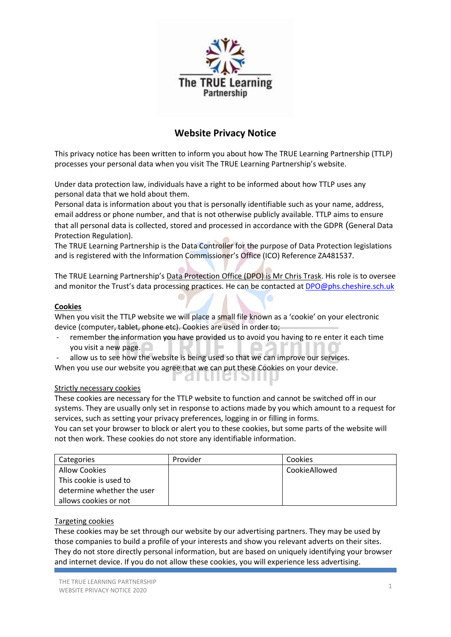

# **Website Privacy Notice**

This privacy notice has been written to inform you about how The TRUE Learning Partnership (TTLP) processes your personal data when you visit The TRUE Learning Partnership's website.

Under data protection law, individuals have a right to be informed about how TTLP uses any personal data that we hold about them.

Personal data is information about you that is personally identifiable such as your name, address, email address or phone number, and that is not otherwise publicly available. TTLP aims to ensure that all personal data is collected, stored and processed in accordance with the GDPR (General Data Protection Regulation).

The TRUE Learning Partnership is the Data Controller for the purpose of Data Protection legislations and is registered with the Information Commissioner's Office (ICO) Reference ZA481537.

The TRUE Learning Partnership's Data Protection Office (DPO) is Mr Chris Trask. His role is to oversee and monitor the Trust's data processing practices. He can be contacted at [DPO@phs.cheshire.sch.uk](mailto:DPO@phs.cheshire.sch.uk)

# **Cookies**

When you visit the TTLP website we will place a small file known as a 'cookie' on your electronic device (computer, tablet, phone etc). Cookies are used in order to;

- remember the information you have provided us to avoid you having to re enter it each time you visit a new page.
- allow us to see how the website is being used so that we can improve our services.

When you use our website you agree that we can put these Cookies on your device.

# Strictly necessary cookies

These cookies are necessary for the TTLP website to function and cannot be switched off in our systems. They are usually only set in response to actions made by you which amount to a request for services, such as setting your privacy preferences, logging in or filling in forms.

<u>F ALLIIGI ƏTITIN</u>

You can set your browser to block or alert you to these cookies, but some parts of the website will not then work. These cookies do not store any identifiable information.

| Categories                 | Provider | Cookies       |
|----------------------------|----------|---------------|
| <b>Allow Cookies</b>       |          | CookieAllowed |
| This cookie is used to     |          |               |
| determine whether the user |          |               |
| allows cookies or not      |          |               |

# Targeting cookies

These cookies may be set through our website by our advertising partners. They may be used by those companies to build a profile of your interests and show you relevant adverts on their sites. They do not store directly personal information, but are based on uniquely identifying your browser and internet device. If you do not allow these cookies, you will experience less advertising.